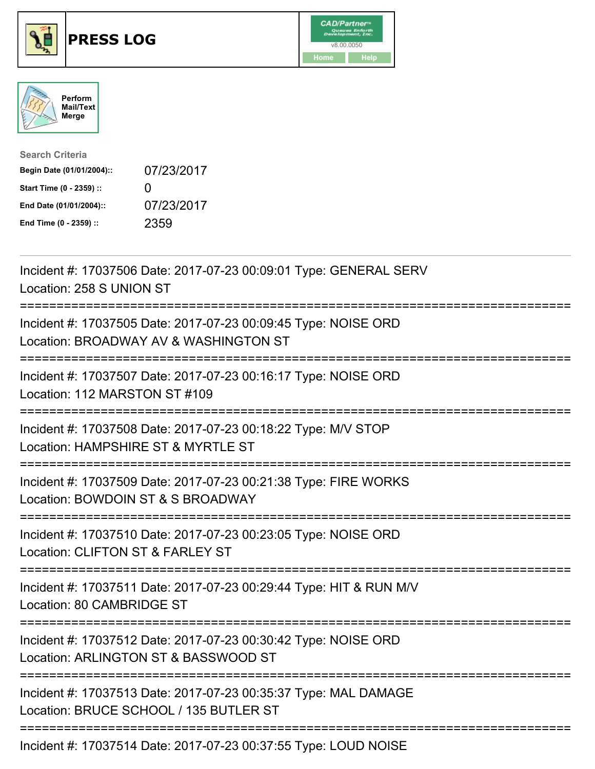





| <b>Search Criteria</b>    |              |
|---------------------------|--------------|
| Begin Date (01/01/2004):: | 07/23/2017   |
| Start Time (0 - 2359) ::  | $\mathbf{I}$ |
| End Date (01/01/2004)::   | 07/23/2017   |
| End Time (0 - 2359) ::    | 2359         |

| Incident #: 17037506 Date: 2017-07-23 00:09:01 Type: GENERAL SERV<br>Location: 258 S UNION ST                                                                     |
|-------------------------------------------------------------------------------------------------------------------------------------------------------------------|
| Incident #: 17037505 Date: 2017-07-23 00:09:45 Type: NOISE ORD<br>Location: BROADWAY AV & WASHINGTON ST                                                           |
| Incident #: 17037507 Date: 2017-07-23 00:16:17 Type: NOISE ORD<br>Location: 112 MARSTON ST #109                                                                   |
| Incident #: 17037508 Date: 2017-07-23 00:18:22 Type: M/V STOP<br>Location: HAMPSHIRE ST & MYRTLE ST                                                               |
| Incident #: 17037509 Date: 2017-07-23 00:21:38 Type: FIRE WORKS<br>Location: BOWDOIN ST & S BROADWAY                                                              |
| Incident #: 17037510 Date: 2017-07-23 00:23:05 Type: NOISE ORD<br>Location: CLIFTON ST & FARLEY ST<br>=========                                                   |
| Incident #: 17037511 Date: 2017-07-23 00:29:44 Type: HIT & RUN M/V<br>Location: 80 CAMBRIDGE ST<br>-------------                                                  |
| Incident #: 17037512 Date: 2017-07-23 00:30:42 Type: NOISE ORD<br>Location: ARLINGTON ST & BASSWOOD ST<br>:=============================<br>===================== |
| Incident #: 17037513 Date: 2017-07-23 00:35:37 Type: MAL DAMAGE<br>Location: BRUCE SCHOOL / 135 BUTLER ST                                                         |
| Incident #: 17037514 Date: 2017-07-23 00:37:55 Type: LOUD NOISE                                                                                                   |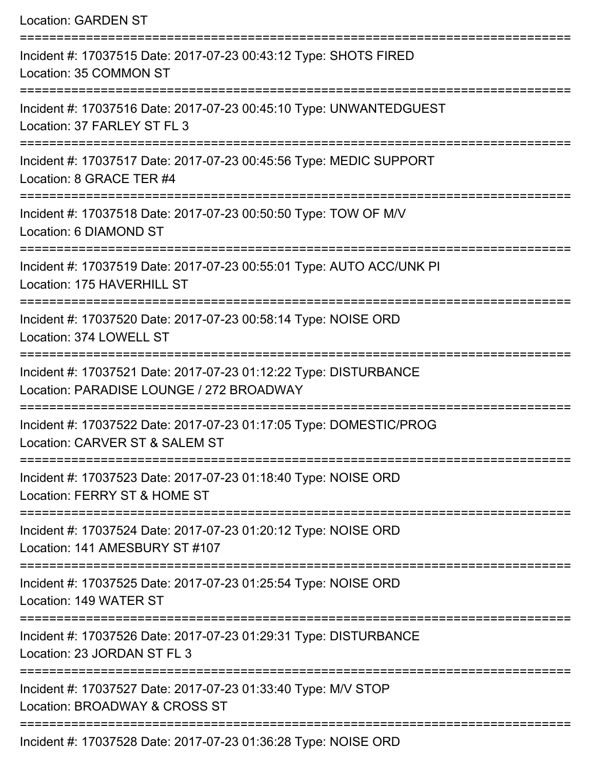| <b>Location: GARDEN ST</b>                                                                                            |
|-----------------------------------------------------------------------------------------------------------------------|
| Incident #: 17037515 Date: 2017-07-23 00:43:12 Type: SHOTS FIRED<br>Location: 35 COMMON ST                            |
| Incident #: 17037516 Date: 2017-07-23 00:45:10 Type: UNWANTEDGUEST<br>Location: 37 FARLEY ST FL 3                     |
| Incident #: 17037517 Date: 2017-07-23 00:45:56 Type: MEDIC SUPPORT<br>Location: 8 GRACE TER #4<br>------------------- |
| Incident #: 17037518 Date: 2017-07-23 00:50:50 Type: TOW OF M/V<br>Location: 6 DIAMOND ST                             |
| Incident #: 17037519 Date: 2017-07-23 00:55:01 Type: AUTO ACC/UNK PI<br>Location: 175 HAVERHILL ST                    |
| Incident #: 17037520 Date: 2017-07-23 00:58:14 Type: NOISE ORD<br>Location: 374 LOWELL ST<br>:=====================   |
| Incident #: 17037521 Date: 2017-07-23 01:12:22 Type: DISTURBANCE<br>Location: PARADISE LOUNGE / 272 BROADWAY          |
| Incident #: 17037522 Date: 2017-07-23 01:17:05 Type: DOMESTIC/PROG<br>Location: CARVER ST & SALEM ST                  |
| Incident #: 17037523 Date: 2017-07-23 01:18:40 Type: NOISE ORD<br>Location: FERRY ST & HOME ST                        |
| Incident #: 17037524 Date: 2017-07-23 01:20:12 Type: NOISE ORD<br>Location: 141 AMESBURY ST #107                      |
| Incident #: 17037525 Date: 2017-07-23 01:25:54 Type: NOISE ORD<br>Location: 149 WATER ST                              |
| Incident #: 17037526 Date: 2017-07-23 01:29:31 Type: DISTURBANCE<br>Location: 23 JORDAN ST FL 3                       |
| Incident #: 17037527 Date: 2017-07-23 01:33:40 Type: M/V STOP<br>Location: BROADWAY & CROSS ST                        |
| Incident #: 17037528 Date: 2017-07-23 01:36:28 Type: NOISE ORD                                                        |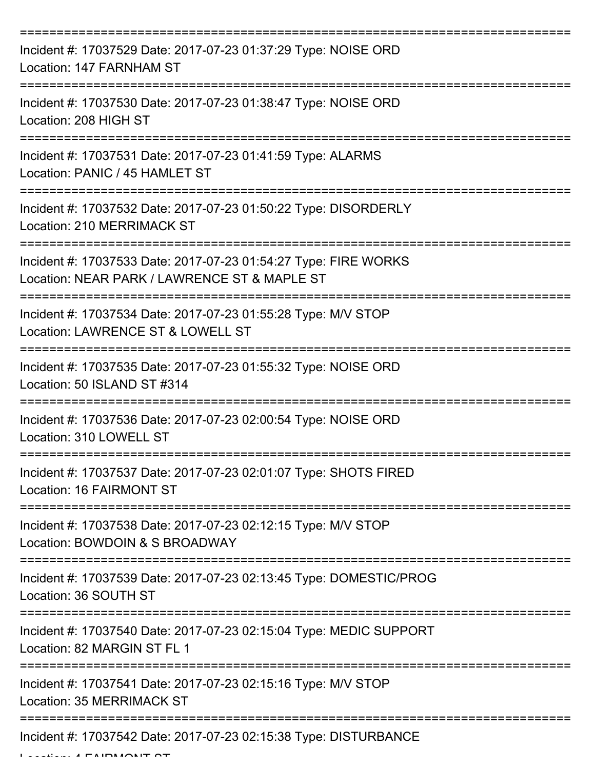| Incident #: 17037529 Date: 2017-07-23 01:37:29 Type: NOISE ORD<br>Location: 147 FARNHAM ST                                            |
|---------------------------------------------------------------------------------------------------------------------------------------|
| Incident #: 17037530 Date: 2017-07-23 01:38:47 Type: NOISE ORD<br>Location: 208 HIGH ST                                               |
| Incident #: 17037531 Date: 2017-07-23 01:41:59 Type: ALARMS<br>Location: PANIC / 45 HAMLET ST                                         |
| Incident #: 17037532 Date: 2017-07-23 01:50:22 Type: DISORDERLY<br>Location: 210 MERRIMACK ST                                         |
| Incident #: 17037533 Date: 2017-07-23 01:54:27 Type: FIRE WORKS<br>Location: NEAR PARK / LAWRENCE ST & MAPLE ST<br>:================= |
| Incident #: 17037534 Date: 2017-07-23 01:55:28 Type: M/V STOP<br>Location: LAWRENCE ST & LOWELL ST                                    |
| Incident #: 17037535 Date: 2017-07-23 01:55:32 Type: NOISE ORD<br>Location: 50 ISLAND ST #314                                         |
| Incident #: 17037536 Date: 2017-07-23 02:00:54 Type: NOISE ORD<br>Location: 310 LOWELL ST                                             |
| Incident #: 17037537 Date: 2017-07-23 02:01:07 Type: SHOTS FIRED<br>Location: 16 FAIRMONT ST                                          |
| Incident #: 17037538 Date: 2017-07-23 02:12:15 Type: M/V STOP<br>Location: BOWDOIN & S BROADWAY                                       |
| Incident #: 17037539 Date: 2017-07-23 02:13:45 Type: DOMESTIC/PROG<br>Location: 36 SOUTH ST                                           |
| Incident #: 17037540 Date: 2017-07-23 02:15:04 Type: MEDIC SUPPORT<br>Location: 82 MARGIN ST FL 1                                     |
| Incident #: 17037541 Date: 2017-07-23 02:15:16 Type: M/V STOP<br>Location: 35 MERRIMACK ST                                            |
| Incident #: 17037542 Date: 2017-07-23 02:15:38 Type: DISTURBANCE                                                                      |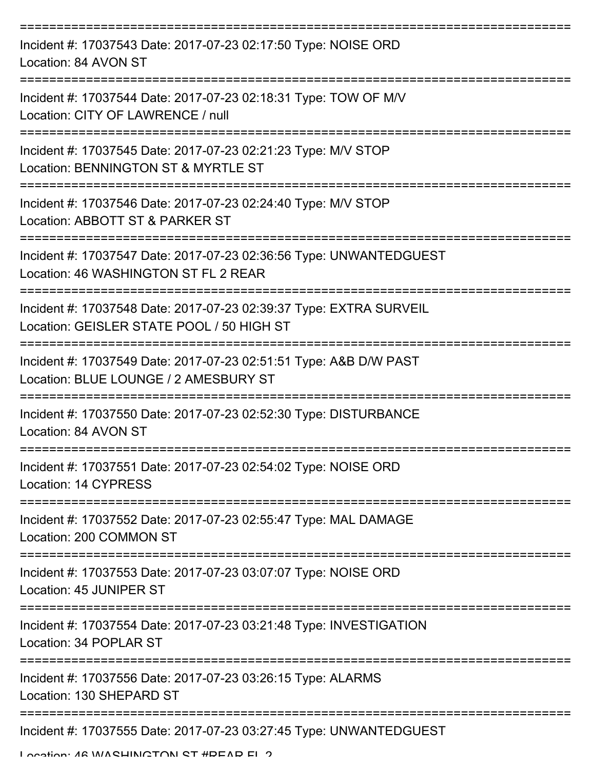| Incident #: 17037543 Date: 2017-07-23 02:17:50 Type: NOISE ORD<br>Location: 84 AVON ST                          |
|-----------------------------------------------------------------------------------------------------------------|
| Incident #: 17037544 Date: 2017-07-23 02:18:31 Type: TOW OF M/V<br>Location: CITY OF LAWRENCE / null            |
| Incident #: 17037545 Date: 2017-07-23 02:21:23 Type: M/V STOP<br>Location: BENNINGTON ST & MYRTLE ST            |
| Incident #: 17037546 Date: 2017-07-23 02:24:40 Type: M/V STOP<br>Location: ABBOTT ST & PARKER ST                |
| Incident #: 17037547 Date: 2017-07-23 02:36:56 Type: UNWANTEDGUEST<br>Location: 46 WASHINGTON ST FL 2 REAR      |
| Incident #: 17037548 Date: 2017-07-23 02:39:37 Type: EXTRA SURVEIL<br>Location: GEISLER STATE POOL / 50 HIGH ST |
| Incident #: 17037549 Date: 2017-07-23 02:51:51 Type: A&B D/W PAST<br>Location: BLUE LOUNGE / 2 AMESBURY ST      |
| Incident #: 17037550 Date: 2017-07-23 02:52:30 Type: DISTURBANCE<br>Location: 84 AVON ST                        |
| Incident #: 17037551 Date: 2017-07-23 02:54:02 Type: NOISE ORD<br>Location: 14 CYPRESS                          |
| Incident #: 17037552 Date: 2017-07-23 02:55:47 Type: MAL DAMAGE<br>Location: 200 COMMON ST                      |
| Incident #: 17037553 Date: 2017-07-23 03:07:07 Type: NOISE ORD<br>Location: 45 JUNIPER ST                       |
| Incident #: 17037554 Date: 2017-07-23 03:21:48 Type: INVESTIGATION<br>Location: 34 POPLAR ST                    |
| Incident #: 17037556 Date: 2017-07-23 03:26:15 Type: ALARMS<br>Location: 130 SHEPARD ST                         |
| Incident #: 17037555 Date: 2017-07-23 03:27:45 Type: UNWANTEDGUEST                                              |

Location: 46 WASHINGTON ST #DEAD EL 2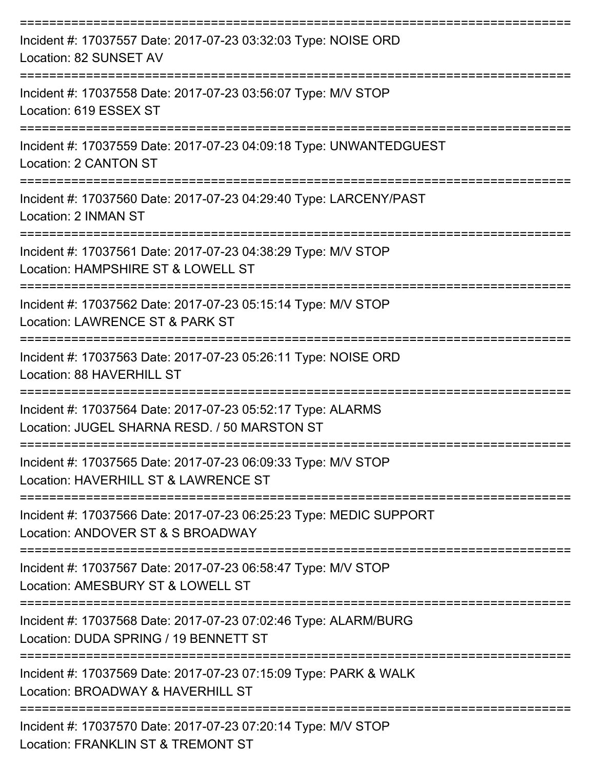| Incident #: 17037557 Date: 2017-07-23 03:32:03 Type: NOISE ORD<br>Location: 82 SUNSET AV                           |
|--------------------------------------------------------------------------------------------------------------------|
| Incident #: 17037558 Date: 2017-07-23 03:56:07 Type: M/V STOP<br>Location: 619 ESSEX ST                            |
| Incident #: 17037559 Date: 2017-07-23 04:09:18 Type: UNWANTEDGUEST<br>Location: 2 CANTON ST                        |
| Incident #: 17037560 Date: 2017-07-23 04:29:40 Type: LARCENY/PAST<br>Location: 2 INMAN ST<br>===================== |
| Incident #: 17037561 Date: 2017-07-23 04:38:29 Type: M/V STOP<br>Location: HAMPSHIRE ST & LOWELL ST                |
| Incident #: 17037562 Date: 2017-07-23 05:15:14 Type: M/V STOP<br>Location: LAWRENCE ST & PARK ST                   |
| Incident #: 17037563 Date: 2017-07-23 05:26:11 Type: NOISE ORD<br>Location: 88 HAVERHILL ST                        |
| Incident #: 17037564 Date: 2017-07-23 05:52:17 Type: ALARMS<br>Location: JUGEL SHARNA RESD. / 50 MARSTON ST        |
| Incident #: 17037565 Date: 2017-07-23 06:09:33 Type: M/V STOP<br>Location: HAVERHILL ST & LAWRENCE ST              |
| Incident #: 17037566 Date: 2017-07-23 06:25:23 Type: MEDIC SUPPORT<br>Location: ANDOVER ST & S BROADWAY            |
| Incident #: 17037567 Date: 2017-07-23 06:58:47 Type: M/V STOP<br>Location: AMESBURY ST & LOWELL ST                 |
| Incident #: 17037568 Date: 2017-07-23 07:02:46 Type: ALARM/BURG<br>Location: DUDA SPRING / 19 BENNETT ST           |
| Incident #: 17037569 Date: 2017-07-23 07:15:09 Type: PARK & WALK<br>Location: BROADWAY & HAVERHILL ST              |
| Incident #: 17037570 Date: 2017-07-23 07:20:14 Type: M/V STOP                                                      |

Location: FRANKLIN ST & TREMONT ST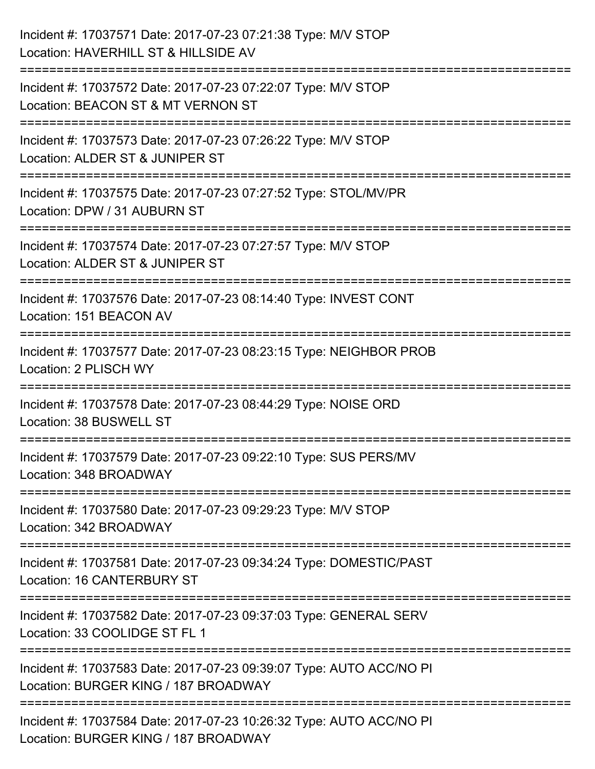| Incident #: 17037571 Date: 2017-07-23 07:21:38 Type: M/V STOP<br>Location: HAVERHILL ST & HILLSIDE AV                                   |
|-----------------------------------------------------------------------------------------------------------------------------------------|
| Incident #: 17037572 Date: 2017-07-23 07:22:07 Type: M/V STOP<br>Location: BEACON ST & MT VERNON ST                                     |
| Incident #: 17037573 Date: 2017-07-23 07:26:22 Type: M/V STOP<br>Location: ALDER ST & JUNIPER ST<br>=================================== |
| Incident #: 17037575 Date: 2017-07-23 07:27:52 Type: STOL/MV/PR<br>Location: DPW / 31 AUBURN ST                                         |
| Incident #: 17037574 Date: 2017-07-23 07:27:57 Type: M/V STOP<br>Location: ALDER ST & JUNIPER ST                                        |
| Incident #: 17037576 Date: 2017-07-23 08:14:40 Type: INVEST CONT<br>Location: 151 BEACON AV                                             |
| Incident #: 17037577 Date: 2017-07-23 08:23:15 Type: NEIGHBOR PROB<br>Location: 2 PLISCH WY                                             |
| Incident #: 17037578 Date: 2017-07-23 08:44:29 Type: NOISE ORD<br>Location: 38 BUSWELL ST                                               |
| Incident #: 17037579 Date: 2017-07-23 09:22:10 Type: SUS PERS/MV<br>Location: 348 BROADWAY                                              |
| Incident #: 17037580 Date: 2017-07-23 09:29:23 Type: M/V STOP<br>Location: 342 BROADWAY                                                 |
| Incident #: 17037581 Date: 2017-07-23 09:34:24 Type: DOMESTIC/PAST<br>Location: 16 CANTERBURY ST                                        |
| Incident #: 17037582 Date: 2017-07-23 09:37:03 Type: GENERAL SERV<br>Location: 33 COOLIDGE ST FL 1                                      |
| Incident #: 17037583 Date: 2017-07-23 09:39:07 Type: AUTO ACC/NO PI<br>Location: BURGER KING / 187 BROADWAY                             |
| Incident #: 17037584 Date: 2017-07-23 10:26:32 Type: AUTO ACC/NO PI<br>Location: BURGER KING / 187 BROADWAY                             |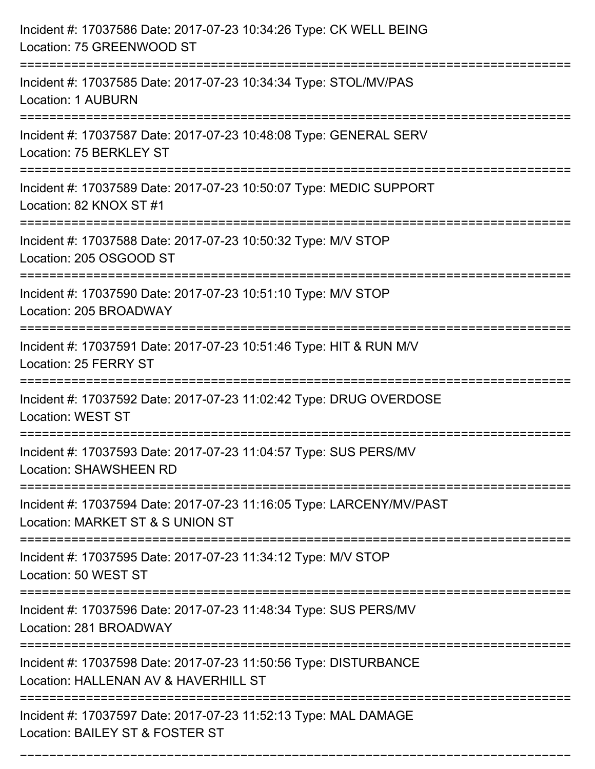| Incident #: 17037586 Date: 2017-07-23 10:34:26 Type: CK WELL BEING<br>Location: 75 GREENWOOD ST                                              |
|----------------------------------------------------------------------------------------------------------------------------------------------|
| Incident #: 17037585 Date: 2017-07-23 10:34:34 Type: STOL/MV/PAS<br><b>Location: 1 AUBURN</b>                                                |
| Incident #: 17037587 Date: 2017-07-23 10:48:08 Type: GENERAL SERV<br>Location: 75 BERKLEY ST                                                 |
| Incident #: 17037589 Date: 2017-07-23 10:50:07 Type: MEDIC SUPPORT<br>Location: 82 KNOX ST #1                                                |
| Incident #: 17037588 Date: 2017-07-23 10:50:32 Type: M/V STOP<br>Location: 205 OSGOOD ST                                                     |
| Incident #: 17037590 Date: 2017-07-23 10:51:10 Type: M/V STOP<br>Location: 205 BROADWAY                                                      |
| Incident #: 17037591 Date: 2017-07-23 10:51:46 Type: HIT & RUN M/V<br>Location: 25 FERRY ST                                                  |
| Incident #: 17037592 Date: 2017-07-23 11:02:42 Type: DRUG OVERDOSE<br><b>Location: WEST ST</b>                                               |
| Incident #: 17037593 Date: 2017-07-23 11:04:57 Type: SUS PERS/MV<br><b>Location: SHAWSHEEN RD</b>                                            |
| Incident #: 17037594 Date: 2017-07-23 11:16:05 Type: LARCENY/MV/PAST<br>Location: MARKET ST & S UNION ST                                     |
| Incident #: 17037595 Date: 2017-07-23 11:34:12 Type: M/V STOP<br>Location: 50 WEST ST                                                        |
| Incident #: 17037596 Date: 2017-07-23 11:48:34 Type: SUS PERS/MV<br>Location: 281 BROADWAY                                                   |
| ================================<br>Incident #: 17037598 Date: 2017-07-23 11:50:56 Type: DISTURBANCE<br>Location: HALLENAN AV & HAVERHILL ST |
| Incident #: 17037597 Date: 2017-07-23 11:52:13 Type: MAL DAMAGE<br>Location: BAILEY ST & FOSTER ST                                           |

===========================================================================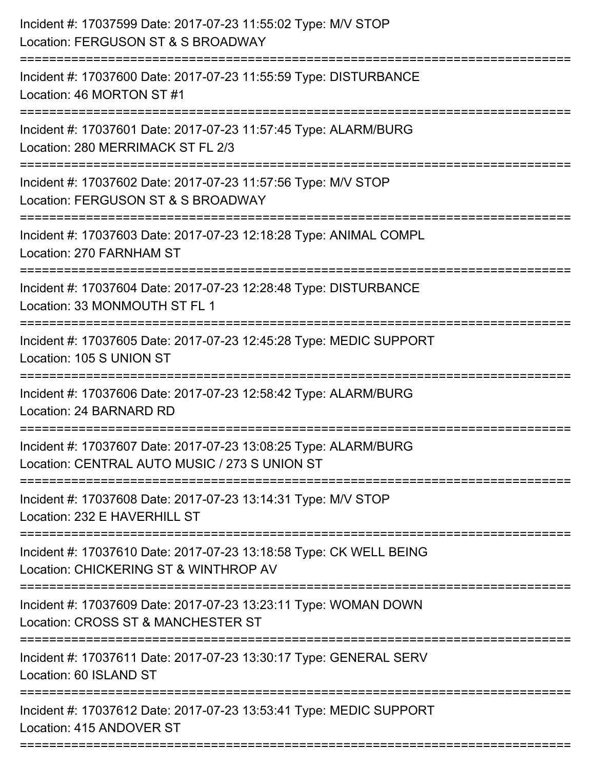| Incident #: 17037599 Date: 2017-07-23 11:55:02 Type: M/V STOP<br>Location: FERGUSON ST & S BROADWAY                                   |
|---------------------------------------------------------------------------------------------------------------------------------------|
| Incident #: 17037600 Date: 2017-07-23 11:55:59 Type: DISTURBANCE<br>Location: 46 MORTON ST #1                                         |
| Incident #: 17037601 Date: 2017-07-23 11:57:45 Type: ALARM/BURG<br>Location: 280 MERRIMACK ST FL 2/3<br>:============================ |
| Incident #: 17037602 Date: 2017-07-23 11:57:56 Type: M/V STOP<br>Location: FERGUSON ST & S BROADWAY                                   |
| Incident #: 17037603 Date: 2017-07-23 12:18:28 Type: ANIMAL COMPL<br>Location: 270 FARNHAM ST                                         |
| Incident #: 17037604 Date: 2017-07-23 12:28:48 Type: DISTURBANCE<br>Location: 33 MONMOUTH ST FL 1                                     |
| Incident #: 17037605 Date: 2017-07-23 12:45:28 Type: MEDIC SUPPORT<br>Location: 105 S UNION ST                                        |
| Incident #: 17037606 Date: 2017-07-23 12:58:42 Type: ALARM/BURG<br>Location: 24 BARNARD RD                                            |
| Incident #: 17037607 Date: 2017-07-23 13:08:25 Type: ALARM/BURG<br>Location: CENTRAL AUTO MUSIC / 273 S UNION ST                      |
| Incident #: 17037608 Date: 2017-07-23 13:14:31 Type: M/V STOP<br>Location: 232 E HAVERHILL ST                                         |
| Incident #: 17037610 Date: 2017-07-23 13:18:58 Type: CK WELL BEING<br>Location: CHICKERING ST & WINTHROP AV                           |
| Incident #: 17037609 Date: 2017-07-23 13:23:11 Type: WOMAN DOWN<br>Location: CROSS ST & MANCHESTER ST                                 |
| Incident #: 17037611 Date: 2017-07-23 13:30:17 Type: GENERAL SERV<br>Location: 60 ISLAND ST                                           |
| Incident #: 17037612 Date: 2017-07-23 13:53:41 Type: MEDIC SUPPORT<br>Location: 415 ANDOVER ST                                        |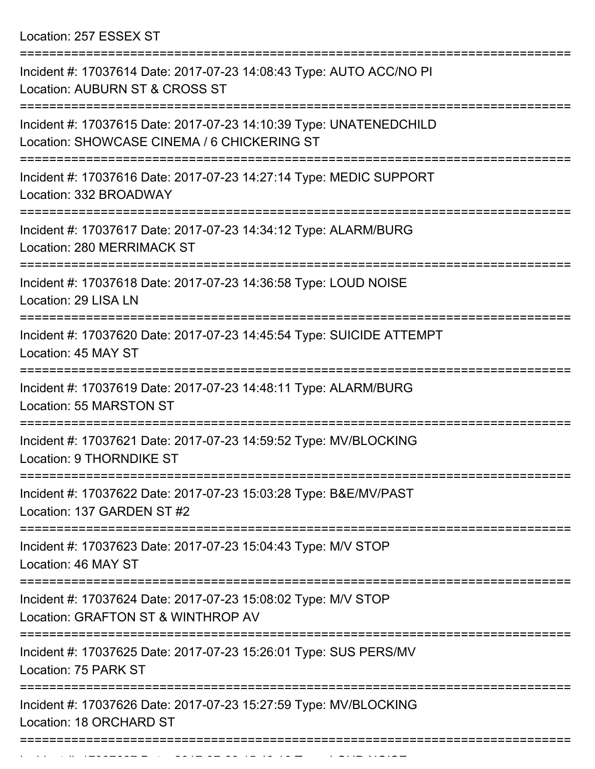Location: 257 ESSEX ST

| Incident #: 17037614 Date: 2017-07-23 14:08:43 Type: AUTO ACC/NO PI<br>Location: AUBURN ST & CROSS ST                  |
|------------------------------------------------------------------------------------------------------------------------|
| Incident #: 17037615 Date: 2017-07-23 14:10:39 Type: UNATENEDCHILD<br>Location: SHOWCASE CINEMA / 6 CHICKERING ST      |
| Incident #: 17037616 Date: 2017-07-23 14:27:14 Type: MEDIC SUPPORT<br>Location: 332 BROADWAY                           |
| Incident #: 17037617 Date: 2017-07-23 14:34:12 Type: ALARM/BURG<br>Location: 280 MERRIMACK ST                          |
| Incident #: 17037618 Date: 2017-07-23 14:36:58 Type: LOUD NOISE<br>Location: 29 LISA LN                                |
| Incident #: 17037620 Date: 2017-07-23 14:45:54 Type: SUICIDE ATTEMPT<br>Location: 45 MAY ST                            |
| Incident #: 17037619 Date: 2017-07-23 14:48:11 Type: ALARM/BURG<br>Location: 55 MARSTON ST                             |
| Incident #: 17037621 Date: 2017-07-23 14:59:52 Type: MV/BLOCKING<br>Location: 9 THORNDIKE ST                           |
| Incident #: 17037622 Date: 2017-07-23 15:03:28 Type: B&E/MV/PAST<br>Location: 137 GARDEN ST #2                         |
| ====================<br>Incident #: 17037623 Date: 2017-07-23 15:04:43 Type: M/V STOP<br>Location: 46 MAY ST           |
| Incident #: 17037624 Date: 2017-07-23 15:08:02 Type: M/V STOP<br>Location: GRAFTON ST & WINTHROP AV                    |
| Incident #: 17037625 Date: 2017-07-23 15:26:01 Type: SUS PERS/MV<br>Location: 75 PARK ST                               |
| Incident #: 17037626 Date: 2017-07-23 15:27:59 Type: MV/BLOCKING<br>Location: 18 ORCHARD ST<br>======================= |
|                                                                                                                        |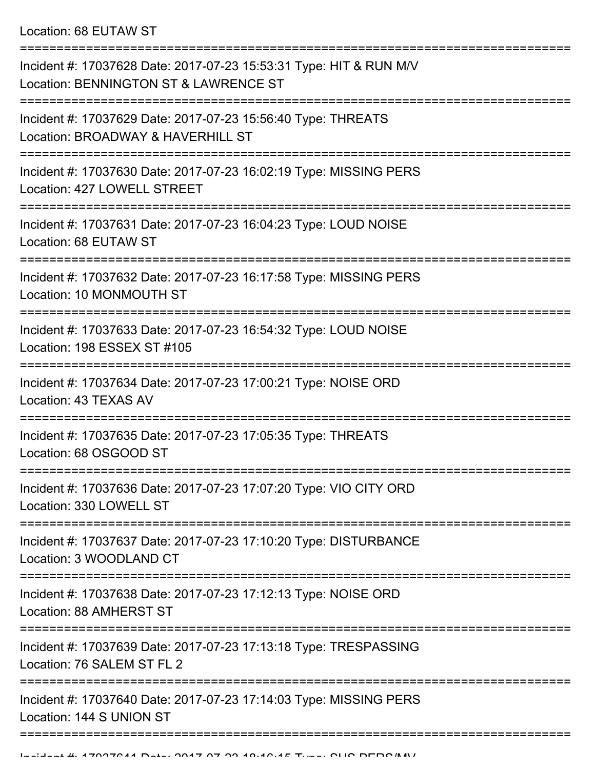Location: 68 EUTAW ST

| Incident #: 17037628 Date: 2017-07-23 15:53:31 Type: HIT & RUN M/V<br>Location: BENNINGTON ST & LAWRENCE ST |
|-------------------------------------------------------------------------------------------------------------|
| Incident #: 17037629 Date: 2017-07-23 15:56:40 Type: THREATS<br>Location: BROADWAY & HAVERHILL ST           |
| Incident #: 17037630 Date: 2017-07-23 16:02:19 Type: MISSING PERS<br>Location: 427 LOWELL STREET            |
| Incident #: 17037631 Date: 2017-07-23 16:04:23 Type: LOUD NOISE<br>Location: 68 EUTAW ST                    |
| Incident #: 17037632 Date: 2017-07-23 16:17:58 Type: MISSING PERS<br>Location: 10 MONMOUTH ST               |
| Incident #: 17037633 Date: 2017-07-23 16:54:32 Type: LOUD NOISE<br>Location: 198 ESSEX ST #105              |
| Incident #: 17037634 Date: 2017-07-23 17:00:21 Type: NOISE ORD<br>Location: 43 TEXAS AV                     |
| Incident #: 17037635 Date: 2017-07-23 17:05:35 Type: THREATS<br>Location: 68 OSGOOD ST                      |
| Incident #: 17037636 Date: 2017-07-23 17:07:20 Type: VIO CITY ORD<br>Location: 330 LOWELL ST                |
| Incident #: 17037637 Date: 2017-07-23 17:10:20 Type: DISTURBANCE<br>Location: 3 WOODLAND CT                 |
| Incident #: 17037638 Date: 2017-07-23 17:12:13 Type: NOISE ORD<br>Location: 88 AMHERST ST                   |
| Incident #: 17037639 Date: 2017-07-23 17:13:18 Type: TRESPASSING<br>Location: 76 SALEM ST FL 2              |
| Incident #: 17037640 Date: 2017-07-23 17:14:03 Type: MISSING PERS<br>Location: 144 S UNION ST               |
|                                                                                                             |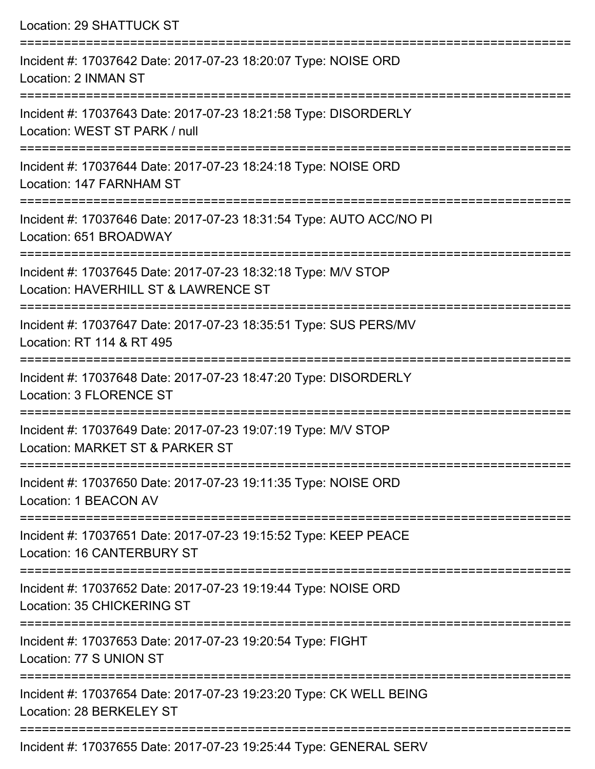Location: 29 SHATTUCK ST =========================================================================== Incident #: 17037642 Date: 2017-07-23 18:20:07 Type: NOISE ORD Location: 2 INMAN ST =========================================================================== Incident #: 17037643 Date: 2017-07-23 18:21:58 Type: DISORDERLY Location: WEST ST PARK / null =========================================================================== Incident #: 17037644 Date: 2017-07-23 18:24:18 Type: NOISE ORD Location: 147 FARNHAM ST =========================================================================== Incident #: 17037646 Date: 2017-07-23 18:31:54 Type: AUTO ACC/NO PI Location: 651 BROADWAY =========================================================================== Incident #: 17037645 Date: 2017-07-23 18:32:18 Type: M/V STOP Location: HAVERHILL ST & LAWRENCE ST =========================================================================== Incident #: 17037647 Date: 2017-07-23 18:35:51 Type: SUS PERS/MV Location: RT 114 & RT 495 =========================================================================== Incident #: 17037648 Date: 2017-07-23 18:47:20 Type: DISORDERLY Location: 3 FLORENCE ST =========================================================================== Incident #: 17037649 Date: 2017-07-23 19:07:19 Type: M/V STOP Location: MARKET ST & PARKER ST =========================================================================== Incident #: 17037650 Date: 2017-07-23 19:11:35 Type: NOISE ORD Location: 1 BEACON AV =========================================================================== Incident #: 17037651 Date: 2017-07-23 19:15:52 Type: KEEP PEACE Location: 16 CANTERBURY ST =========================================================================== Incident #: 17037652 Date: 2017-07-23 19:19:44 Type: NOISE ORD Location: 35 CHICKERING ST =========================================================================== Incident #: 17037653 Date: 2017-07-23 19:20:54 Type: FIGHT Location: 77 S UNION ST =========================================================================== Incident #: 17037654 Date: 2017-07-23 19:23:20 Type: CK WELL BEING Location: 28 BERKELEY ST ===========================================================================

Incident #: 17037655 Date: 2017-07-23 19:25:44 Type: GENERAL SERV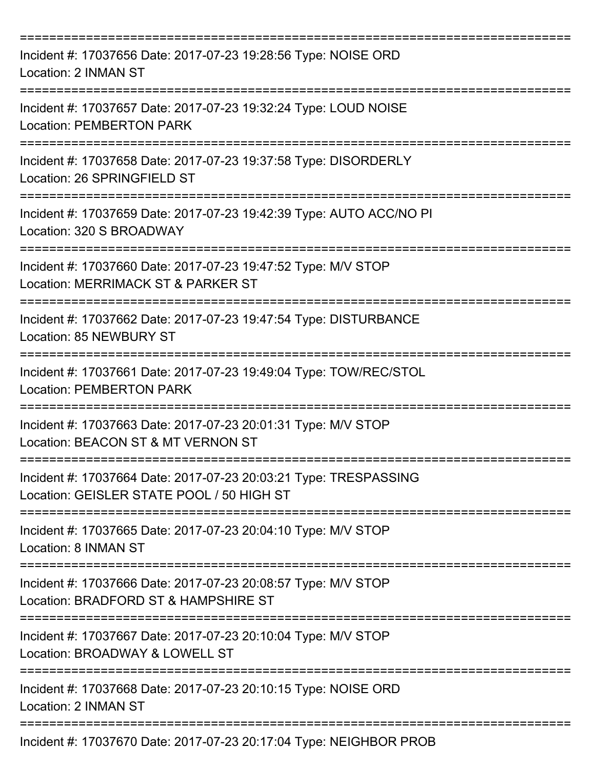| Incident #: 17037656 Date: 2017-07-23 19:28:56 Type: NOISE ORD<br>Location: 2 INMAN ST                        |
|---------------------------------------------------------------------------------------------------------------|
| Incident #: 17037657 Date: 2017-07-23 19:32:24 Type: LOUD NOISE<br><b>Location: PEMBERTON PARK</b>            |
| Incident #: 17037658 Date: 2017-07-23 19:37:58 Type: DISORDERLY<br>Location: 26 SPRINGFIELD ST                |
| Incident #: 17037659 Date: 2017-07-23 19:42:39 Type: AUTO ACC/NO PI<br>Location: 320 S BROADWAY               |
| Incident #: 17037660 Date: 2017-07-23 19:47:52 Type: M/V STOP<br>Location: MERRIMACK ST & PARKER ST           |
| Incident #: 17037662 Date: 2017-07-23 19:47:54 Type: DISTURBANCE<br>Location: 85 NEWBURY ST                   |
| Incident #: 17037661 Date: 2017-07-23 19:49:04 Type: TOW/REC/STOL<br><b>Location: PEMBERTON PARK</b>          |
| Incident #: 17037663 Date: 2017-07-23 20:01:31 Type: M/V STOP<br>Location: BEACON ST & MT VERNON ST           |
| Incident #: 17037664 Date: 2017-07-23 20:03:21 Type: TRESPASSING<br>Location: GEISLER STATE POOL / 50 HIGH ST |
| Incident #: 17037665 Date: 2017-07-23 20:04:10 Type: M/V STOP<br>Location: 8 INMAN ST                         |
| Incident #: 17037666 Date: 2017-07-23 20:08:57 Type: M/V STOP<br>Location: BRADFORD ST & HAMPSHIRE ST         |
| Incident #: 17037667 Date: 2017-07-23 20:10:04 Type: M/V STOP<br>Location: BROADWAY & LOWELL ST               |
| Incident #: 17037668 Date: 2017-07-23 20:10:15 Type: NOISE ORD<br>Location: 2 INMAN ST                        |
| Incident #: 17037670 Date: 2017-07-23 20:17:04 Type: NEIGHBOR PROB                                            |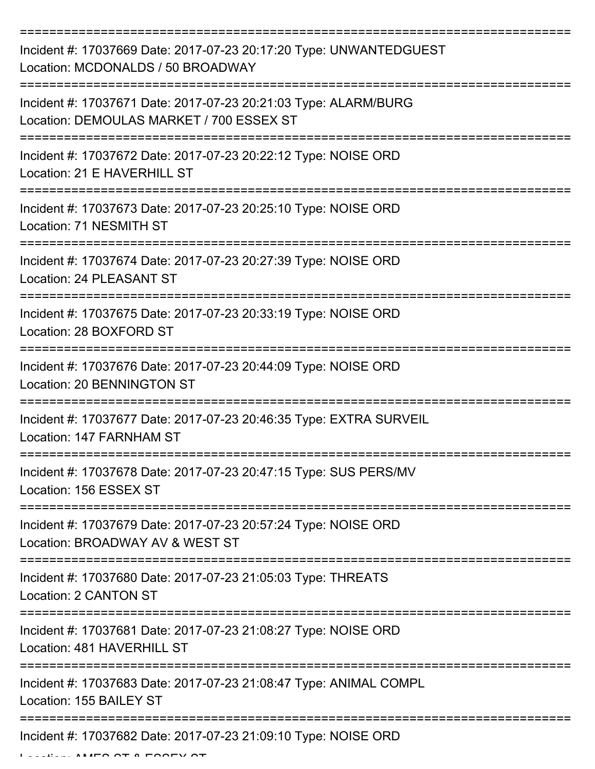| Incident #: 17037669 Date: 2017-07-23 20:17:20 Type: UNWANTEDGUEST<br>Location: MCDONALDS / 50 BROADWAY                    |
|----------------------------------------------------------------------------------------------------------------------------|
| Incident #: 17037671 Date: 2017-07-23 20:21:03 Type: ALARM/BURG<br>Location: DEMOULAS MARKET / 700 ESSEX ST                |
| Incident #: 17037672 Date: 2017-07-23 20:22:12 Type: NOISE ORD<br>Location: 21 E HAVERHILL ST                              |
| Incident #: 17037673 Date: 2017-07-23 20:25:10 Type: NOISE ORD<br>Location: 71 NESMITH ST                                  |
| Incident #: 17037674 Date: 2017-07-23 20:27:39 Type: NOISE ORD<br>Location: 24 PLEASANT ST                                 |
| Incident #: 17037675 Date: 2017-07-23 20:33:19 Type: NOISE ORD<br>Location: 28 BOXFORD ST                                  |
| Incident #: 17037676 Date: 2017-07-23 20:44:09 Type: NOISE ORD<br><b>Location: 20 BENNINGTON ST</b>                        |
| Incident #: 17037677 Date: 2017-07-23 20:46:35 Type: EXTRA SURVEIL<br>Location: 147 FARNHAM ST                             |
| Incident #: 17037678 Date: 2017-07-23 20:47:15 Type: SUS PERS/MV<br>Location: 156 ESSEX ST                                 |
| =====================<br>Incident #: 17037679 Date: 2017-07-23 20:57:24 Type: NOISE ORD<br>Location: BROADWAY AV & WEST ST |
| Incident #: 17037680 Date: 2017-07-23 21:05:03 Type: THREATS<br>Location: 2 CANTON ST                                      |
| Incident #: 17037681 Date: 2017-07-23 21:08:27 Type: NOISE ORD<br>Location: 481 HAVERHILL ST                               |
| Incident #: 17037683 Date: 2017-07-23 21:08:47 Type: ANIMAL COMPL<br>Location: 155 BAILEY ST                               |
| Incident #: 17037682 Date: 2017-07-23 21:09:10 Type: NOISE ORD                                                             |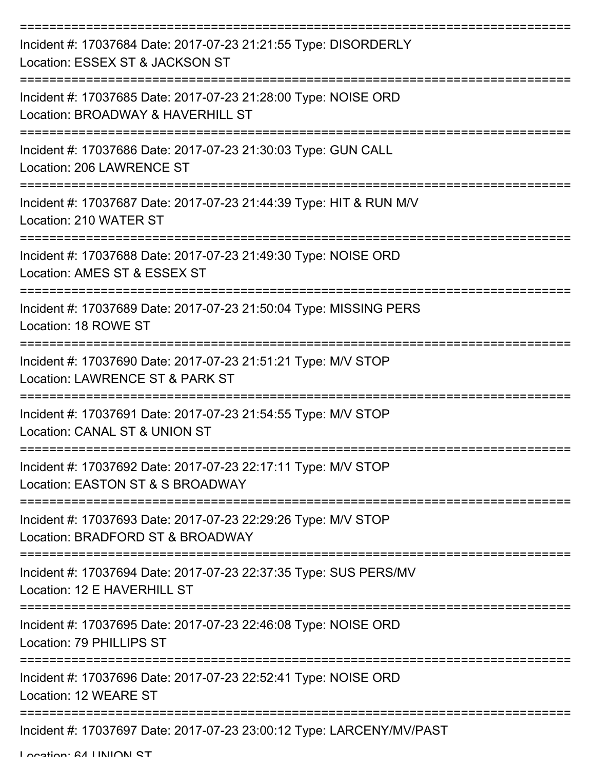| Incident #: 17037684 Date: 2017-07-23 21:21:55 Type: DISORDERLY<br>Location: ESSEX ST & JACKSON ST                               |
|----------------------------------------------------------------------------------------------------------------------------------|
| Incident #: 17037685 Date: 2017-07-23 21:28:00 Type: NOISE ORD<br>Location: BROADWAY & HAVERHILL ST                              |
| Incident #: 17037686 Date: 2017-07-23 21:30:03 Type: GUN CALL<br>Location: 206 LAWRENCE ST                                       |
| Incident #: 17037687 Date: 2017-07-23 21:44:39 Type: HIT & RUN M/V<br>Location: 210 WATER ST                                     |
| Incident #: 17037688 Date: 2017-07-23 21:49:30 Type: NOISE ORD<br>Location: AMES ST & ESSEX ST                                   |
| Incident #: 17037689 Date: 2017-07-23 21:50:04 Type: MISSING PERS<br>Location: 18 ROWE ST<br>=================================== |
| Incident #: 17037690 Date: 2017-07-23 21:51:21 Type: M/V STOP<br>Location: LAWRENCE ST & PARK ST                                 |
| Incident #: 17037691 Date: 2017-07-23 21:54:55 Type: M/V STOP<br>Location: CANAL ST & UNION ST                                   |
| Incident #: 17037692 Date: 2017-07-23 22:17:11 Type: M/V STOP<br>Location: EASTON ST & S BROADWAY                                |
| Incident #: 17037693 Date: 2017-07-23 22:29:26 Type: M/V STOP<br>Location: BRADFORD ST & BROADWAY                                |
| Incident #: 17037694 Date: 2017-07-23 22:37:35 Type: SUS PERS/MV<br>Location: 12 E HAVERHILL ST                                  |
| Incident #: 17037695 Date: 2017-07-23 22:46:08 Type: NOISE ORD<br>Location: 79 PHILLIPS ST                                       |
| Incident #: 17037696 Date: 2017-07-23 22:52:41 Type: NOISE ORD<br>Location: 12 WEARE ST                                          |
| Incident #: 17037697 Date: 2017-07-23 23:00:12 Type: LARCENY/MV/PAST                                                             |